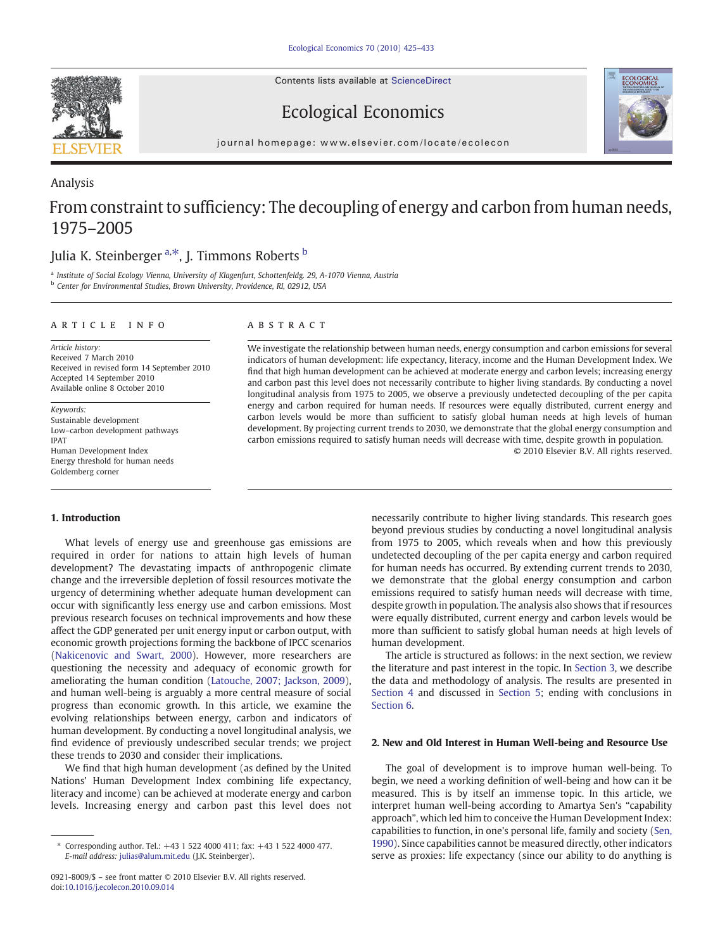Contents lists available at ScienceDirect



Ecological Economics



journal homepage: www.elsevier.com/locate/ecolecon

# Analysis From constraint to sufficiency: The decoupling of energy and carbon from human needs, 1975–2005

## Julia K. Steinberger <sup>a,\*</sup>, J. Timmons Roberts <sup>b</sup>

a Institute of Social Ecology Vienna, University of Klagenfurt, Schottenfeldg. 29, A-1070 Vienna, Austria b Center for Environmental Studies, Brown University, Providence, RI, 02912, USA

#### article info abstract

Article history: Received 7 March 2010 Received in revised form 14 September 2010 Accepted 14 September 2010 Available online 8 October 2010

Keywords: Sustainable development Low–carbon development pathways IPAT Human Development Index Energy threshold for human needs Goldemberg corner

1. Introduction

We investigate the relationship between human needs, energy consumption and carbon emissions for several indicators of human development: life expectancy, literacy, income and the Human Development Index. We find that high human development can be achieved at moderate energy and carbon levels; increasing energy and carbon past this level does not necessarily contribute to higher living standards. By conducting a novel longitudinal analysis from 1975 to 2005, we observe a previously undetected decoupling of the per capita energy and carbon required for human needs. If resources were equally distributed, current energy and carbon levels would be more than sufficient to satisfy global human needs at high levels of human development. By projecting current trends to 2030, we demonstrate that the global energy consumption and carbon emissions required to satisfy human needs will decrease with time, despite growth in population.

© 2010 Elsevier B.V. All rights reserved.

What levels of energy use and greenhouse gas emissions are required in order for nations to attain high levels of human development? The devastating impacts of anthropogenic climate change and the irreversible depletion of fossil resources motivate the urgency of determining whether adequate human development can occur with significantly less energy use and carbon emissions. Most previous research focuses on technical improvements and how these affect the GDP generated per unit energy input or carbon output, with economic growth projections forming the backbone of IPCC scenarios [\(Nakicenovic and Swart, 2000](#page-8-0)). However, more researchers are questioning the necessity and adequacy of economic growth for ameliorating the human condition [\(Latouche, 2007; Jackson, 2009](#page-8-0)), and human well-being is arguably a more central measure of social progress than economic growth. In this article, we examine the evolving relationships between energy, carbon and indicators of human development. By conducting a novel longitudinal analysis, we find evidence of previously undescribed secular trends; we project these trends to 2030 and consider their implications.

We find that high human development (as defined by the United Nations' Human Development Index combining life expectancy, literacy and income) can be achieved at moderate energy and carbon levels. Increasing energy and carbon past this level does not

necessarily contribute to higher living standards. This research goes beyond previous studies by conducting a novel longitudinal analysis from 1975 to 2005, which reveals when and how this previously undetected decoupling of the per capita energy and carbon required for human needs has occurred. By extending current trends to 2030, we demonstrate that the global energy consumption and carbon emissions required to satisfy human needs will decrease with time, despite growth in population. The analysis also shows that if resources were equally distributed, current energy and carbon levels would be more than sufficient to satisfy global human needs at high levels of human development.

The article is structured as follows: in the next section, we review the literature and past interest in the topic. In [Section 3,](#page-2-0) we describe the data and methodology of analysis. The results are presented in [Section 4](#page-3-0) and discussed in [Section 5;](#page-6-0) ending with conclusions in [Section 6.](#page-7-0)

#### 2. New and Old Interest in Human Well-being and Resource Use

The goal of development is to improve human well-being. To begin, we need a working definition of well-being and how can it be measured. This is by itself an immense topic. In this article, we interpret human well-being according to Amartya Sen's "capability approach", which led him to conceive the Human Development Index: capabilities to function, in one's personal life, family and society ([Sen,](#page-8-0) [1990\)](#page-8-0). Since capabilities cannot be measured directly, other indicators serve as proxies: life expectancy (since our ability to do anything is

<sup>⁎</sup> Corresponding author. Tel.: +43 1 522 4000 411; fax: +43 1 522 4000 477. E-mail address: [julias@alum.mit.edu](mailto:julias@alum.mit.edu) (J.K. Steinberger).

<sup>0921-8009/\$</sup> – see front matter © 2010 Elsevier B.V. All rights reserved. doi:[10.1016/j.ecolecon.2010.09.014](http://dx.doi.org/10.1016/j.ecolecon.2010.09.014)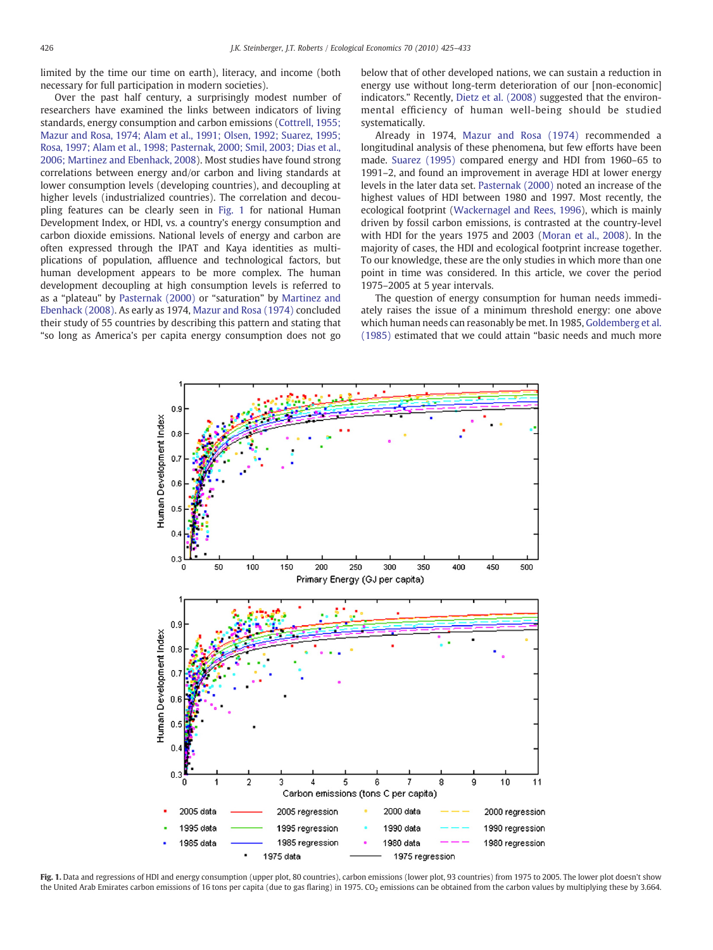<span id="page-1-0"></span>limited by the time our time on earth), literacy, and income (both necessary for full participation in modern societies).

Over the past half century, a surprisingly modest number of researchers have examined the links between indicators of living standards, energy consumption and carbon emissions [\(Cottrell, 1955;](#page-7-0) [Mazur and Rosa, 1974; Alam et al., 1991; Olsen, 1992; Suarez, 1995;](#page-7-0) [Rosa, 1997; Alam et al., 1998; Pasternak, 2000; Smil, 2003; Dias et al.,](#page-7-0) [2006; Martinez and Ebenhack, 2008\)](#page-7-0). Most studies have found strong correlations between energy and/or carbon and living standards at lower consumption levels (developing countries), and decoupling at higher levels (industrialized countries). The correlation and decoupling features can be clearly seen in Fig. 1 for national Human Development Index, or HDI, vs. a country's energy consumption and carbon dioxide emissions. National levels of energy and carbon are often expressed through the IPAT and Kaya identities as multiplications of population, affluence and technological factors, but human development appears to be more complex. The human development decoupling at high consumption levels is referred to as a "plateau" by [Pasternak \(2000\)](#page-8-0) or "saturation" by [Martinez and](#page-8-0) [Ebenhack \(2008\).](#page-8-0) As early as 1974, [Mazur and Rosa \(1974\)](#page-8-0) concluded their study of 55 countries by describing this pattern and stating that "so long as America's per capita energy consumption does not go below that of other developed nations, we can sustain a reduction in energy use without long-term deterioration of our [non-economic] indicators." Recently, [Dietz et al. \(2008\)](#page-7-0) suggested that the environmental efficiency of human well-being should be studied systematically.

Already in 1974, [Mazur and Rosa \(1974\)](#page-8-0) recommended a longitudinal analysis of these phenomena, but few efforts have been made. [Suarez \(1995\)](#page-8-0) compared energy and HDI from 1960–65 to 1991–2, and found an improvement in average HDI at lower energy levels in the later data set. [Pasternak \(2000\)](#page-8-0) noted an increase of the highest values of HDI between 1980 and 1997. Most recently, the ecological footprint [\(Wackernagel and Rees, 1996\)](#page-8-0), which is mainly driven by fossil carbon emissions, is contrasted at the country-level with HDI for the years 1975 and 2003 [\(Moran et al., 2008\)](#page-8-0). In the majority of cases, the HDI and ecological footprint increase together. To our knowledge, these are the only studies in which more than one point in time was considered. In this article, we cover the period 1975–2005 at 5 year intervals.

The question of energy consumption for human needs immediately raises the issue of a minimum threshold energy: one above which human needs can reasonably be met. In 1985, [Goldemberg et al.](#page-7-0) [\(1985\)](#page-7-0) estimated that we could attain "basic needs and much more



Fig. 1. Data and regressions of HDI and energy consumption (upper plot, 80 countries), carbon emissions (lower plot, 93 countries) from 1975 to 2005. The lower plot doesn't show the United Arab Emirates carbon emissions of 16 tons per capita (due to gas flaring) in 1975. CO<sub>2</sub> emissions can be obtained from the carbon values by multiplying these by 3.664.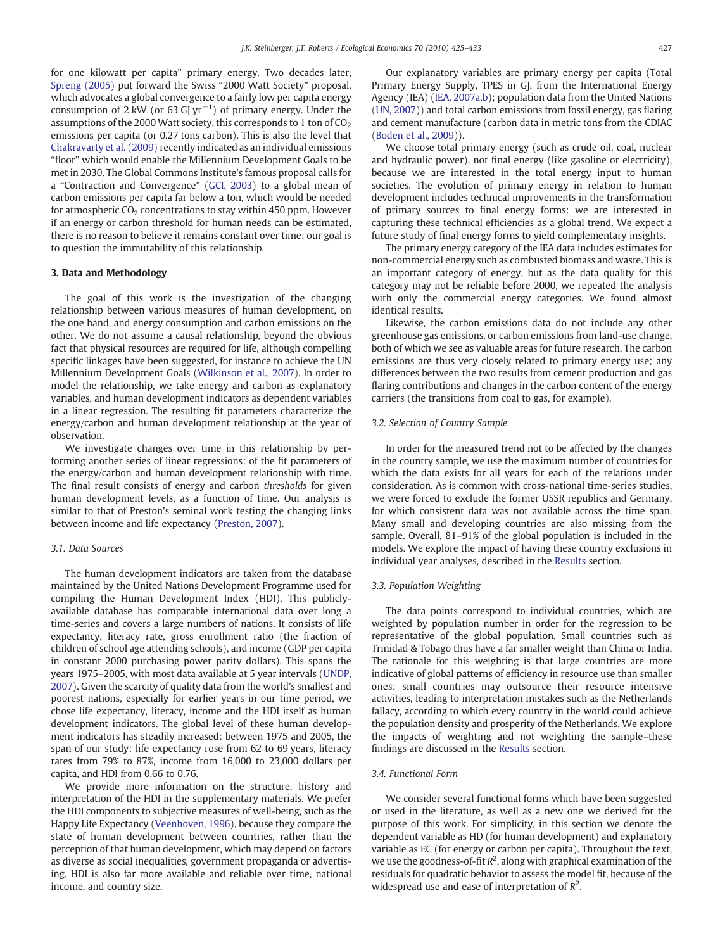<span id="page-2-0"></span>for one kilowatt per capita" primary energy. Two decades later, [Spreng \(2005\)](#page-8-0) put forward the Swiss "2000 Watt Society" proposal, which advocates a global convergence to a fairly low per capita energy consumption of 2 kW (or 63 GJ yr<sup>-1</sup>) of primary energy. Under the assumptions of the 2000 Watt society, this corresponds to 1 ton of  $CO<sub>2</sub>$ emissions per capita (or 0.27 tons carbon). This is also the level that [Chakravarty et al. \(2009\)](#page-7-0) recently indicated as an individual emissions "floor" which would enable the Millennium Development Goals to be met in 2030. The Global Commons Institute's famous proposal calls for a "Contraction and Convergence" [\(GCI, 2003\)](#page-7-0) to a global mean of carbon emissions per capita far below a ton, which would be needed for atmospheric  $CO<sub>2</sub>$  concentrations to stay within 450 ppm. However if an energy or carbon threshold for human needs can be estimated, there is no reason to believe it remains constant over time: our goal is to question the immutability of this relationship.

#### 3. Data and Methodology

The goal of this work is the investigation of the changing relationship between various measures of human development, on the one hand, and energy consumption and carbon emissions on the other. We do not assume a causal relationship, beyond the obvious fact that physical resources are required for life, although compelling specific linkages have been suggested, for instance to achieve the UN Millennium Development Goals [\(Wilkinson et al., 2007\)](#page-8-0). In order to model the relationship, we take energy and carbon as explanatory variables, and human development indicators as dependent variables in a linear regression. The resulting fit parameters characterize the energy/carbon and human development relationship at the year of observation.

We investigate changes over time in this relationship by performing another series of linear regressions: of the fit parameters of the energy/carbon and human development relationship with time. The final result consists of energy and carbon thresholds for given human development levels, as a function of time. Our analysis is similar to that of Preston's seminal work testing the changing links between income and life expectancy [\(Preston, 2007\)](#page-8-0).

#### 3.1. Data Sources

The human development indicators are taken from the database maintained by the United Nations Development Programme used for compiling the Human Development Index (HDI). This publiclyavailable database has comparable international data over long a time-series and covers a large numbers of nations. It consists of life expectancy, literacy rate, gross enrollment ratio (the fraction of children of school age attending schools), and income (GDP per capita in constant 2000 purchasing power parity dollars). This spans the years 1975–2005, with most data available at 5 year intervals [\(UNDP,](#page-8-0) [2007\)](#page-8-0). Given the scarcity of quality data from the world's smallest and poorest nations, especially for earlier years in our time period, we chose life expectancy, literacy, income and the HDI itself as human development indicators. The global level of these human development indicators has steadily increased: between 1975 and 2005, the span of our study: life expectancy rose from 62 to 69 years, literacy rates from 79% to 87%, income from 16,000 to 23,000 dollars per capita, and HDI from 0.66 to 0.76.

We provide more information on the structure, history and interpretation of the HDI in the supplementary materials. We prefer the HDI components to subjective measures of well-being, such as the Happy Life Expectancy ([Veenhoven, 1996](#page-8-0)), because they compare the state of human development between countries, rather than the perception of that human development, which may depend on factors as diverse as social inequalities, government propaganda or advertising. HDI is also far more available and reliable over time, national income, and country size.

Our explanatory variables are primary energy per capita (Total Primary Energy Supply, TPES in GJ, from the International Energy Agency (IEA) [\(IEA, 2007a,b\)](#page-8-0); population data from the United Nations [\(UN, 2007\)](#page-8-0)) and total carbon emissions from fossil energy, gas flaring and cement manufacture (carbon data in metric tons from the CDIAC [\(Boden et al., 2009](#page-7-0))).

We choose total primary energy (such as crude oil, coal, nuclear and hydraulic power), not final energy (like gasoline or electricity), because we are interested in the total energy input to human societies. The evolution of primary energy in relation to human development includes technical improvements in the transformation of primary sources to final energy forms: we are interested in capturing these technical efficiencies as a global trend. We expect a future study of final energy forms to yield complementary insights.

The primary energy category of the IEA data includes estimates for non-commercial energy such as combusted biomass and waste. This is an important category of energy, but as the data quality for this category may not be reliable before 2000, we repeated the analysis with only the commercial energy categories. We found almost identical results.

Likewise, the carbon emissions data do not include any other greenhouse gas emissions, or carbon emissions from land-use change, both of which we see as valuable areas for future research. The carbon emissions are thus very closely related to primary energy use; any differences between the two results from cement production and gas flaring contributions and changes in the carbon content of the energy carriers (the transitions from coal to gas, for example).

#### 3.2. Selection of Country Sample

In order for the measured trend not to be affected by the changes in the country sample, we use the maximum number of countries for which the data exists for all years for each of the relations under consideration. As is common with cross-national time-series studies, we were forced to exclude the former USSR republics and Germany, for which consistent data was not available across the time span. Many small and developing countries are also missing from the sample. Overall, 81–91% of the global population is included in the models. We explore the impact of having these country exclusions in individual year analyses, described in the [Results](#page-3-0) section.

#### 3.3. Population Weighting

The data points correspond to individual countries, which are weighted by population number in order for the regression to be representative of the global population. Small countries such as Trinidad & Tobago thus have a far smaller weight than China or India. The rationale for this weighting is that large countries are more indicative of global patterns of efficiency in resource use than smaller ones: small countries may outsource their resource intensive activities, leading to interpretation mistakes such as the Netherlands fallacy, according to which every country in the world could achieve the population density and prosperity of the Netherlands. We explore the impacts of weighting and not weighting the sample–these findings are discussed in the [Results](#page-3-0) section.

#### 3.4. Functional Form

We consider several functional forms which have been suggested or used in the literature, as well as a new one we derived for the purpose of this work. For simplicity, in this section we denote the dependent variable as HD (for human development) and explanatory variable as EC (for energy or carbon per capita). Throughout the text, we use the goodness-of-fit  $R^2$ , along with graphical examination of the residuals for quadratic behavior to assess the model fit, because of the widespread use and ease of interpretation of  $R^2$ .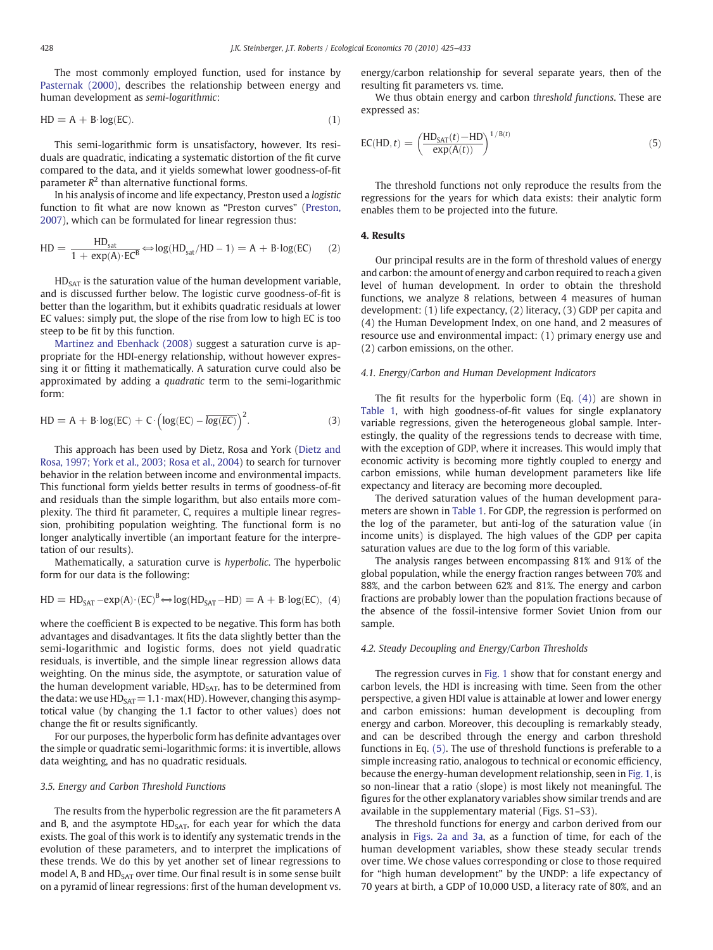<span id="page-3-0"></span>The most commonly employed function, used for instance by [Pasternak \(2000\),](#page-8-0) describes the relationship between energy and human development as semi-logarithmic:

$$
HD = A + B \cdot log(EC). \tag{1}
$$

This semi-logarithmic form is unsatisfactory, however. Its residuals are quadratic, indicating a systematic distortion of the fit curve compared to the data, and it yields somewhat lower goodness-of-fit parameter  $R^2$  than alternative functional forms.

In his analysis of income and life expectancy, Preston used a logistic function to fit what are now known as "Preston curves" [\(Preston,](#page-8-0) [2007\)](#page-8-0), which can be formulated for linear regression thus:

$$
HD = \frac{HD_{sat}}{1 + \exp(A) \cdot EC^{B}} \Longleftrightarrow \log(HD_{sat}/HD - 1) = A + B \cdot \log(EC) \tag{2}
$$

 $HD<sub>SAT</sub>$  is the saturation value of the human development variable, and is discussed further below. The logistic curve goodness-of-fit is better than the logarithm, but it exhibits quadratic residuals at lower EC values: simply put, the slope of the rise from low to high EC is too steep to be fit by this function.

[Martinez and Ebenhack \(2008\)](#page-8-0) suggest a saturation curve is appropriate for the HDI-energy relationship, without however expressing it or fitting it mathematically. A saturation curve could also be approximated by adding a quadratic term to the semi-logarithmic form:

$$
HD = A + B \cdot \log(EC) + C \cdot \left( \log(EC) - \overline{\log(EC)} \right)^2.
$$
 (3)

This approach has been used by Dietz, Rosa and York ([Dietz and](#page-7-0) [Rosa, 1997; York et al., 2003; Rosa et al., 2004\)](#page-7-0) to search for turnover behavior in the relation between income and environmental impacts. This functional form yields better results in terms of goodness-of-fit and residuals than the simple logarithm, but also entails more complexity. The third fit parameter, C, requires a multiple linear regression, prohibiting population weighting. The functional form is no longer analytically invertible (an important feature for the interpretation of our results).

Mathematically, a saturation curve is hyperbolic. The hyperbolic form for our data is the following:

$$
HD = HD_{SAT} - exp(A) \cdot (EC)^{B} \Longleftrightarrow log(HD_{SAT} - HD) = A + B \cdot log(EC), (4)
$$

where the coefficient B is expected to be negative. This form has both advantages and disadvantages. It fits the data slightly better than the semi-logarithmic and logistic forms, does not yield quadratic residuals, is invertible, and the simple linear regression allows data weighting. On the minus side, the asymptote, or saturation value of the human development variable,  $HD<sub>SAT</sub>$ , has to be determined from the data: we use  $HD_{SAT} = 1.1 \cdot max(HD)$ . However, changing this asymptotical value (by changing the 1.1 factor to other values) does not change the fit or results significantly.

For our purposes, the hyperbolic form has definite advantages over the simple or quadratic semi-logarithmic forms: it is invertible, allows data weighting, and has no quadratic residuals.

#### 3.5. Energy and Carbon Threshold Functions

The results from the hyperbolic regression are the fit parameters A and B, and the asymptote  $HD<sub>SAT</sub>$ , for each year for which the data exists. The goal of this work is to identify any systematic trends in the evolution of these parameters, and to interpret the implications of these trends. We do this by yet another set of linear regressions to model A, B and  $HD<sub>SAT</sub>$  over time. Our final result is in some sense built on a pyramid of linear regressions: first of the human development vs.

energy/carbon relationship for several separate years, then of the resulting fit parameters vs. time.

We thus obtain energy and carbon threshold functions. These are expressed as:

$$
EC(HD, t) = \left(\frac{HD_{SAT}(t) - HD}{exp(A(t))}\right)^{1/B(t)}
$$
(5)

The threshold functions not only reproduce the results from the regressions for the years for which data exists: their analytic form enables them to be projected into the future.

#### 4. Results

Our principal results are in the form of threshold values of energy and carbon: the amount of energy and carbon required to reach a given level of human development. In order to obtain the threshold functions, we analyze 8 relations, between 4 measures of human development: (1) life expectancy, (2) literacy, (3) GDP per capita and (4) the Human Development Index, on one hand, and 2 measures of resource use and environmental impact: (1) primary energy use and (2) carbon emissions, on the other.

#### 4.1. Energy/Carbon and Human Development Indicators

The fit results for the hyperbolic form  $(Eq. (4))$  are shown in [Table 1,](#page-4-0) with high goodness-of-fit values for single explanatory variable regressions, given the heterogeneous global sample. Interestingly, the quality of the regressions tends to decrease with time, with the exception of GDP, where it increases. This would imply that economic activity is becoming more tightly coupled to energy and carbon emissions, while human development parameters like life expectancy and literacy are becoming more decoupled.

The derived saturation values of the human development parameters are shown in [Table 1](#page-4-0). For GDP, the regression is performed on the log of the parameter, but anti-log of the saturation value (in income units) is displayed. The high values of the GDP per capita saturation values are due to the log form of this variable.

The analysis ranges between encompassing 81% and 91% of the global population, while the energy fraction ranges between 70% and 88%, and the carbon between 62% and 81%. The energy and carbon fractions are probably lower than the population fractions because of the absence of the fossil-intensive former Soviet Union from our sample.

#### 4.2. Steady Decoupling and Energy/Carbon Thresholds

The regression curves in [Fig. 1](#page-1-0) show that for constant energy and carbon levels, the HDI is increasing with time. Seen from the other perspective, a given HDI value is attainable at lower and lower energy and carbon emissions: human development is decoupling from energy and carbon. Moreover, this decoupling is remarkably steady, and can be described through the energy and carbon threshold functions in Eq. (5). The use of threshold functions is preferable to a simple increasing ratio, analogous to technical or economic efficiency, because the energy-human development relationship, seen in [Fig. 1](#page-1-0), is so non-linear that a ratio (slope) is most likely not meaningful. The figures for the other explanatory variables show similar trends and are available in the supplementary material (Figs. S1–S3).

The threshold functions for energy and carbon derived from our analysis in [Figs. 2a and 3a,](#page-4-0) as a function of time, for each of the human development variables, show these steady secular trends over time. We chose values corresponding or close to those required for "high human development" by the UNDP: a life expectancy of 70 years at birth, a GDP of 10,000 USD, a literacy rate of 80%, and an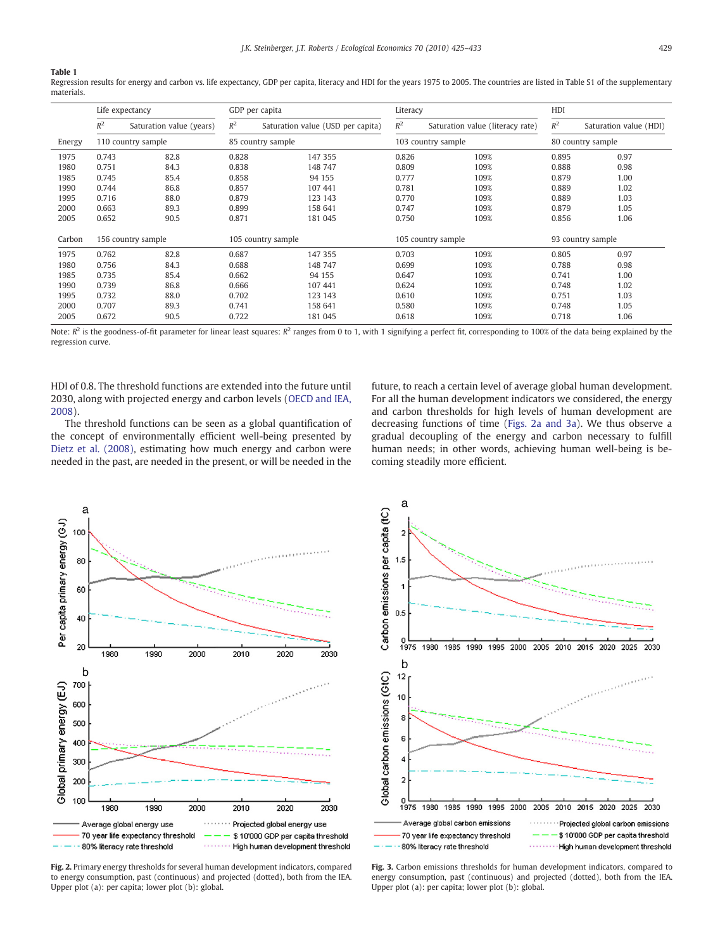#### <span id="page-4-0"></span>Table 1

Regression results for energy and carbon vs. life expectancy, GDP per capita, literacy and HDI for the years 1975 to 2005. The countries are listed in Table S1 of the supplementary materials.

|        | Life expectancy    |                          | GDP per capita     |                                   | Literacy           |                                  | HDI               |                        |
|--------|--------------------|--------------------------|--------------------|-----------------------------------|--------------------|----------------------------------|-------------------|------------------------|
|        | $R^2$              | Saturation value (years) | $R^2$              | Saturation value (USD per capita) | $R^2$              | Saturation value (literacy rate) | $R^2$             | Saturation value (HDI) |
| Energy | 110 country sample |                          | 85 country sample  |                                   | 103 country sample |                                  | 80 country sample |                        |
| 1975   | 0.743              | 82.8                     | 0.828              | 147 355                           | 0.826              | 109%                             | 0.895             | 0.97                   |
| 1980   | 0.751              | 84.3                     | 0.838              | 148 747                           | 0.809              | 109%                             | 0.888             | 0.98                   |
| 1985   | 0.745              | 85.4                     | 0.858              | 94 155                            | 0.777              | 109%                             | 0.879             | 1.00                   |
| 1990   | 0.744              | 86.8                     | 0.857              | 107 441                           | 0.781              | 109%                             | 0.889             | 1.02                   |
| 1995   | 0.716              | 88.0                     | 0.879              | 123 143                           | 0.770              | 109%                             | 0.889             | 1.03                   |
| 2000   | 0.663              | 89.3                     | 0.899              | 158 641                           | 0.747              | 109%                             | 0.879             | 1.05                   |
| 2005   | 0.652              | 90.5                     | 0.871              | 181 045                           | 0.750              | 109%                             | 0.856             | 1.06                   |
| Carbon | 156 country sample |                          | 105 country sample |                                   | 105 country sample |                                  | 93 country sample |                        |
| 1975   | 0.762              | 82.8                     | 0.687              | 147 355                           | 0.703              | 109%                             | 0.805             | 0.97                   |
| 1980   | 0.756              | 84.3                     | 0.688              | 148 747                           | 0.699              | 109%                             | 0.788             | 0.98                   |
| 1985   | 0.735              | 85.4                     | 0.662              | 94 155                            | 0.647              | 109%                             | 0.741             | 1.00                   |
| 1990   | 0.739              | 86.8                     | 0.666              | 107 441                           | 0.624              | 109%                             | 0.748             | 1.02                   |
| 1995   | 0.732              | 88.0                     | 0.702              | 123 143                           | 0.610              | 109%                             | 0.751             | 1.03                   |
| 2000   | 0.707              | 89.3                     | 0.741              | 158 641                           | 0.580              | 109%                             | 0.748             | 1.05                   |
| 2005   | 0.672              | 90.5                     | 0.722              | 181 045                           | 0.618              | 109%                             | 0.718             | 1.06                   |

Note:  $R^2$  is the goodness-of-fit parameter for linear least squares:  $R^2$  ranges from 0 to 1, with 1 signifying a perfect fit, corresponding to 100% of the data being explained by the regression curve.

HDI of 0.8. The threshold functions are extended into the future until 2030, along with projected energy and carbon levels ([OECD and IEA,](#page-8-0) [2008](#page-8-0)).

The threshold functions can be seen as a global quantification of the concept of environmentally efficient well-being presented by [Dietz et al. \(2008\),](#page-7-0) estimating how much energy and carbon were needed in the past, are needed in the present, or will be needed in the future, to reach a certain level of average global human development. For all the human development indicators we considered, the energy and carbon thresholds for high levels of human development are decreasing functions of time (Figs. 2a and 3a). We thus observe a gradual decoupling of the energy and carbon necessary to fulfill human needs; in other words, achieving human well-being is becoming steadily more efficient.



Fig. 2. Primary energy thresholds for several human development indicators, compared to energy consumption, past (continuous) and projected (dotted), both from the IEA. Upper plot (a): per capita; lower plot (b): global.



Fig. 3. Carbon emissions thresholds for human development indicators, compared to energy consumption, past (continuous) and projected (dotted), both from the IEA. Upper plot (a): per capita; lower plot (b): global.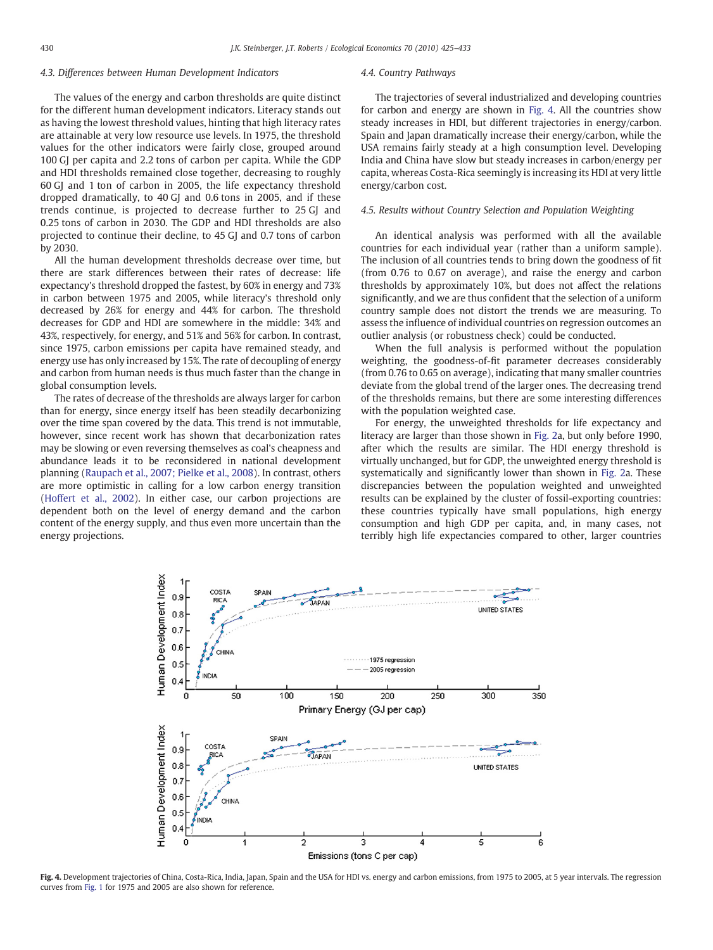### <span id="page-5-0"></span>4.3. Differences between Human Development Indicators

The values of the energy and carbon thresholds are quite distinct for the different human development indicators. Literacy stands out as having the lowest threshold values, hinting that high literacy rates are attainable at very low resource use levels. In 1975, the threshold values for the other indicators were fairly close, grouped around 100 GJ per capita and 2.2 tons of carbon per capita. While the GDP and HDI thresholds remained close together, decreasing to roughly 60 GJ and 1 ton of carbon in 2005, the life expectancy threshold dropped dramatically, to 40 GJ and 0.6 tons in 2005, and if these trends continue, is projected to decrease further to 25 GJ and 0.25 tons of carbon in 2030. The GDP and HDI thresholds are also projected to continue their decline, to 45 GJ and 0.7 tons of carbon by 2030.

All the human development thresholds decrease over time, but there are stark differences between their rates of decrease: life expectancy's threshold dropped the fastest, by 60% in energy and 73% in carbon between 1975 and 2005, while literacy's threshold only decreased by 26% for energy and 44% for carbon. The threshold decreases for GDP and HDI are somewhere in the middle: 34% and 43%, respectively, for energy, and 51% and 56% for carbon. In contrast, since 1975, carbon emissions per capita have remained steady, and energy use has only increased by 15%. The rate of decoupling of energy and carbon from human needs is thus much faster than the change in global consumption levels.

The rates of decrease of the thresholds are always larger for carbon than for energy, since energy itself has been steadily decarbonizing over the time span covered by the data. This trend is not immutable, however, since recent work has shown that decarbonization rates may be slowing or even reversing themselves as coal's cheapness and abundance leads it to be reconsidered in national development planning [\(Raupach et al., 2007; Pielke et al., 2008\)](#page-8-0). In contrast, others are more optimistic in calling for a low carbon energy transition [\(Hoffert et al., 2002](#page-8-0)). In either case, our carbon projections are dependent both on the level of energy demand and the carbon content of the energy supply, and thus even more uncertain than the energy projections.

#### 4.4. Country Pathways

The trajectories of several industrialized and developing countries for carbon and energy are shown in Fig. 4. All the countries show steady increases in HDI, but different trajectories in energy/carbon. Spain and Japan dramatically increase their energy/carbon, while the USA remains fairly steady at a high consumption level. Developing India and China have slow but steady increases in carbon/energy per capita, whereas Costa-Rica seemingly is increasing its HDI at very little energy/carbon cost.

#### 4.5. Results without Country Selection and Population Weighting

An identical analysis was performed with all the available countries for each individual year (rather than a uniform sample). The inclusion of all countries tends to bring down the goodness of fit (from 0.76 to 0.67 on average), and raise the energy and carbon thresholds by approximately 10%, but does not affect the relations significantly, and we are thus confident that the selection of a uniform country sample does not distort the trends we are measuring. To assess the influence of individual countries on regression outcomes an outlier analysis (or robustness check) could be conducted.

When the full analysis is performed without the population weighting, the goodness-of-fit parameter decreases considerably (from 0.76 to 0.65 on average), indicating that many smaller countries deviate from the global trend of the larger ones. The decreasing trend of the thresholds remains, but there are some interesting differences with the population weighted case.

For energy, the unweighted thresholds for life expectancy and literacy are larger than those shown in [Fig. 2a](#page-4-0), but only before 1990, after which the results are similar. The HDI energy threshold is virtually unchanged, but for GDP, the unweighted energy threshold is systematically and significantly lower than shown in [Fig. 2a](#page-4-0). These discrepancies between the population weighted and unweighted results can be explained by the cluster of fossil-exporting countries: these countries typically have small populations, high energy consumption and high GDP per capita, and, in many cases, not terribly high life expectancies compared to other, larger countries



Fig. 4. Development trajectories of China, Costa-Rica, India, Japan, Spain and the USA for HDI vs. energy and carbon emissions, from 1975 to 2005, at 5 year intervals. The regression curves from [Fig. 1](#page-1-0) for 1975 and 2005 are also shown for reference.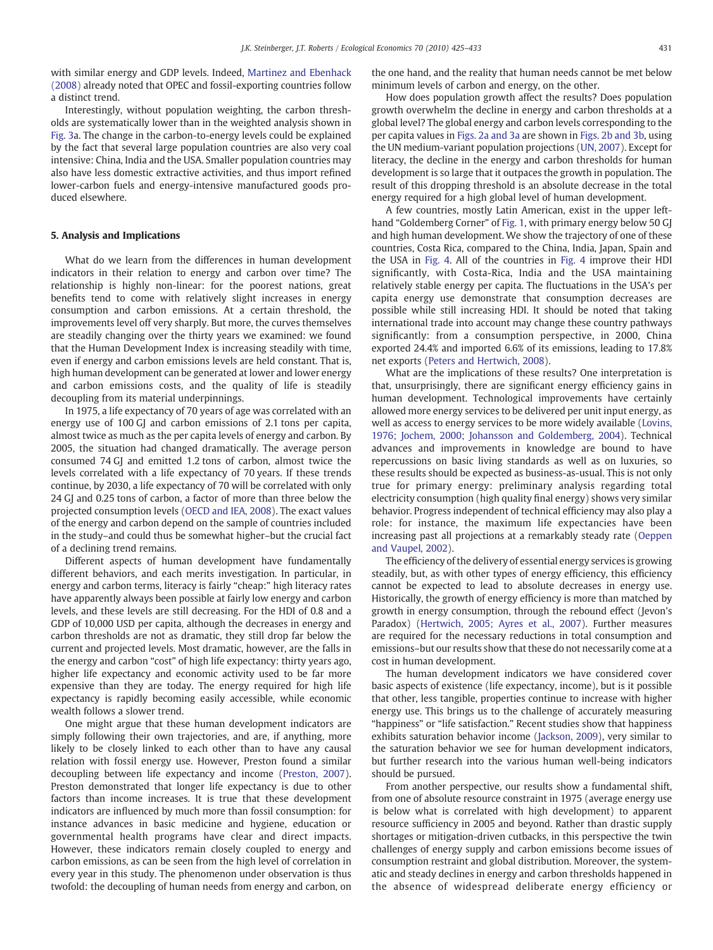<span id="page-6-0"></span>with similar energy and GDP levels. Indeed, [Martinez and Ebenhack](#page-8-0) [\(2008\)](#page-8-0) already noted that OPEC and fossil-exporting countries follow a distinct trend.

Interestingly, without population weighting, the carbon thresholds are systematically lower than in the weighted analysis shown in [Fig. 3a](#page-4-0). The change in the carbon-to-energy levels could be explained by the fact that several large population countries are also very coal intensive: China, India and the USA. Smaller population countries may also have less domestic extractive activities, and thus import refined lower-carbon fuels and energy-intensive manufactured goods produced elsewhere.

### 5. Analysis and Implications

What do we learn from the differences in human development indicators in their relation to energy and carbon over time? The relationship is highly non-linear: for the poorest nations, great benefits tend to come with relatively slight increases in energy consumption and carbon emissions. At a certain threshold, the improvements level off very sharply. But more, the curves themselves are steadily changing over the thirty years we examined: we found that the Human Development Index is increasing steadily with time, even if energy and carbon emissions levels are held constant. That is, high human development can be generated at lower and lower energy and carbon emissions costs, and the quality of life is steadily decoupling from its material underpinnings.

In 1975, a life expectancy of 70 years of age was correlated with an energy use of 100 GJ and carbon emissions of 2.1 tons per capita, almost twice as much as the per capita levels of energy and carbon. By 2005, the situation had changed dramatically. The average person consumed 74 GJ and emitted 1.2 tons of carbon, almost twice the levels correlated with a life expectancy of 70 years. If these trends continue, by 2030, a life expectancy of 70 will be correlated with only 24 GJ and 0.25 tons of carbon, a factor of more than three below the projected consumption levels ([OECD and IEA, 2008\)](#page-8-0). The exact values of the energy and carbon depend on the sample of countries included in the study–and could thus be somewhat higher–but the crucial fact of a declining trend remains.

Different aspects of human development have fundamentally different behaviors, and each merits investigation. In particular, in energy and carbon terms, literacy is fairly "cheap:" high literacy rates have apparently always been possible at fairly low energy and carbon levels, and these levels are still decreasing. For the HDI of 0.8 and a GDP of 10,000 USD per capita, although the decreases in energy and carbon thresholds are not as dramatic, they still drop far below the current and projected levels. Most dramatic, however, are the falls in the energy and carbon "cost" of high life expectancy: thirty years ago, higher life expectancy and economic activity used to be far more expensive than they are today. The energy required for high life expectancy is rapidly becoming easily accessible, while economic wealth follows a slower trend.

One might argue that these human development indicators are simply following their own trajectories, and are, if anything, more likely to be closely linked to each other than to have any causal relation with fossil energy use. However, Preston found a similar decoupling between life expectancy and income [\(Preston, 2007](#page-8-0)). Preston demonstrated that longer life expectancy is due to other factors than income increases. It is true that these development indicators are influenced by much more than fossil consumption: for instance advances in basic medicine and hygiene, education or governmental health programs have clear and direct impacts. However, these indicators remain closely coupled to energy and carbon emissions, as can be seen from the high level of correlation in every year in this study. The phenomenon under observation is thus twofold: the decoupling of human needs from energy and carbon, on

the one hand, and the reality that human needs cannot be met below minimum levels of carbon and energy, on the other.

How does population growth affect the results? Does population growth overwhelm the decline in energy and carbon thresholds at a global level? The global energy and carbon levels corresponding to the per capita values in [Figs. 2a and 3a](#page-4-0) are shown in [Figs. 2b and 3b](#page-4-0), using the UN medium-variant population projections [\(UN, 2007](#page-8-0)). Except for literacy, the decline in the energy and carbon thresholds for human development is so large that it outpaces the growth in population. The result of this dropping threshold is an absolute decrease in the total energy required for a high global level of human development.

A few countries, mostly Latin American, exist in the upper lefthand "Goldemberg Corner" of [Fig. 1](#page-1-0), with primary energy below 50 GJ and high human development. We show the trajectory of one of these countries, Costa Rica, compared to the China, India, Japan, Spain and the USA in [Fig. 4.](#page-5-0) All of the countries in [Fig. 4](#page-5-0) improve their HDI significantly, with Costa-Rica, India and the USA maintaining relatively stable energy per capita. The fluctuations in the USA's per capita energy use demonstrate that consumption decreases are possible while still increasing HDI. It should be noted that taking international trade into account may change these country pathways significantly: from a consumption perspective, in 2000, China exported 24.4% and imported 6.6% of its emissions, leading to 17.8% net exports [\(Peters and Hertwich, 2008\)](#page-8-0).

What are the implications of these results? One interpretation is that, unsurprisingly, there are significant energy efficiency gains in human development. Technological improvements have certainly allowed more energy services to be delivered per unit input energy, as well as access to energy services to be more widely available [\(Lovins,](#page-8-0) [1976; Jochem, 2000; Johansson and Goldemberg, 2004](#page-8-0)). Technical advances and improvements in knowledge are bound to have repercussions on basic living standards as well as on luxuries, so these results should be expected as business-as-usual. This is not only true for primary energy: preliminary analysis regarding total electricity consumption (high quality final energy) shows very similar behavior. Progress independent of technical efficiency may also play a role: for instance, the maximum life expectancies have been increasing past all projections at a remarkably steady rate [\(Oeppen](#page-8-0) [and Vaupel, 2002](#page-8-0)).

The efficiency of the delivery of essential energy services is growing steadily, but, as with other types of energy efficiency, this efficiency cannot be expected to lead to absolute decreases in energy use. Historically, the growth of energy efficiency is more than matched by growth in energy consumption, through the rebound effect (Jevon's Paradox) [\(Hertwich, 2005; Ayres et al., 2007\)](#page-8-0). Further measures are required for the necessary reductions in total consumption and emissions–but our results show that these do not necessarily come at a cost in human development.

The human development indicators we have considered cover basic aspects of existence (life expectancy, income), but is it possible that other, less tangible, properties continue to increase with higher energy use. This brings us to the challenge of accurately measuring "happiness" or "life satisfaction." Recent studies show that happiness exhibits saturation behavior income ([Jackson, 2009\)](#page-8-0), very similar to the saturation behavior we see for human development indicators, but further research into the various human well-being indicators should be pursued.

From another perspective, our results show a fundamental shift, from one of absolute resource constraint in 1975 (average energy use is below what is correlated with high development) to apparent resource sufficiency in 2005 and beyond. Rather than drastic supply shortages or mitigation-driven cutbacks, in this perspective the twin challenges of energy supply and carbon emissions become issues of consumption restraint and global distribution. Moreover, the systematic and steady declines in energy and carbon thresholds happened in the absence of widespread deliberate energy efficiency or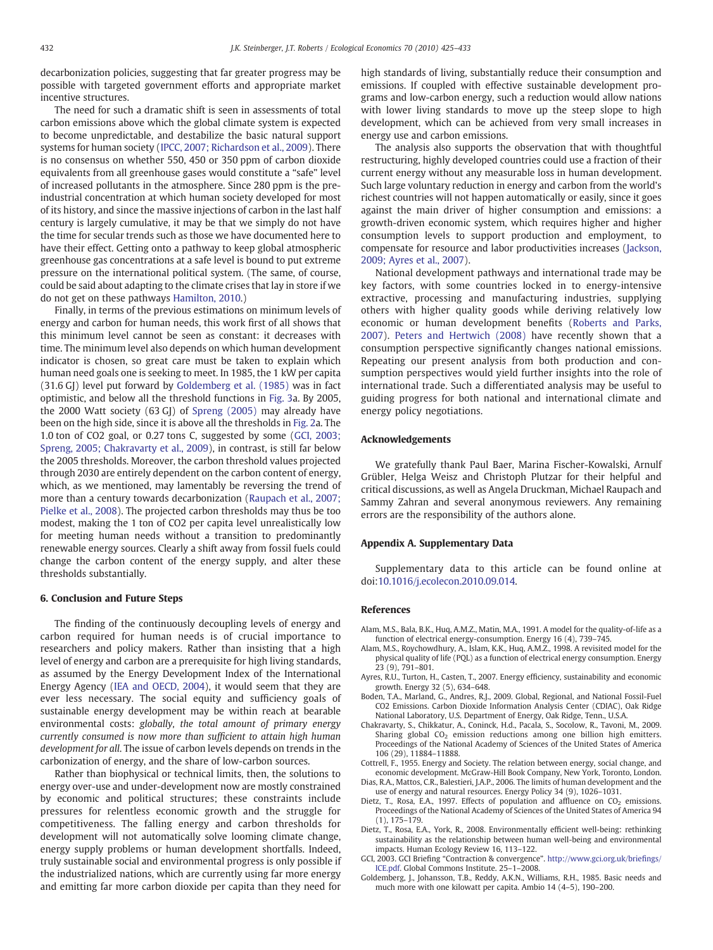<span id="page-7-0"></span>decarbonization policies, suggesting that far greater progress may be possible with targeted government efforts and appropriate market incentive structures.

The need for such a dramatic shift is seen in assessments of total carbon emissions above which the global climate system is expected to become unpredictable, and destabilize the basic natural support systems for human society [\(IPCC, 2007; Richardson et al., 2009](#page-8-0)). There is no consensus on whether 550, 450 or 350 ppm of carbon dioxide equivalents from all greenhouse gases would constitute a "safe" level of increased pollutants in the atmosphere. Since 280 ppm is the preindustrial concentration at which human society developed for most of its history, and since the massive injections of carbon in the last half century is largely cumulative, it may be that we simply do not have the time for secular trends such as those we have documented here to have their effect. Getting onto a pathway to keep global atmospheric greenhouse gas concentrations at a safe level is bound to put extreme pressure on the international political system. (The same, of course, could be said about adapting to the climate crises that lay in store if we do not get on these pathways [Hamilton, 2010](#page-8-0).)

Finally, in terms of the previous estimations on minimum levels of energy and carbon for human needs, this work first of all shows that this minimum level cannot be seen as constant: it decreases with time. The minimum level also depends on which human development indicator is chosen, so great care must be taken to explain which human need goals one is seeking to meet. In 1985, the 1 kW per capita (31.6 GJ) level put forward by Goldemberg et al. (1985) was in fact optimistic, and below all the threshold functions in [Fig. 3a](#page-4-0). By 2005, the 2000 Watt society (63 GJ) of [Spreng \(2005\)](#page-8-0) may already have been on the high side, since it is above all the thresholds in [Fig. 2a](#page-4-0). The 1.0 ton of CO2 goal, or 0.27 tons C, suggested by some (GCI, 2003; Spreng, 2005; Chakravarty et al., 2009), in contrast, is still far below the 2005 thresholds. Moreover, the carbon threshold values projected through 2030 are entirely dependent on the carbon content of energy, which, as we mentioned, may lamentably be reversing the trend of more than a century towards decarbonization [\(Raupach et al., 2007;](#page-8-0) [Pielke et al., 2008\)](#page-8-0). The projected carbon thresholds may thus be too modest, making the 1 ton of CO2 per capita level unrealistically low for meeting human needs without a transition to predominantly renewable energy sources. Clearly a shift away from fossil fuels could change the carbon content of the energy supply, and alter these thresholds substantially.

#### 6. Conclusion and Future Steps

The finding of the continuously decoupling levels of energy and carbon required for human needs is of crucial importance to researchers and policy makers. Rather than insisting that a high level of energy and carbon are a prerequisite for high living standards, as assumed by the Energy Development Index of the International Energy Agency [\(IEA and OECD, 2004\)](#page-8-0), it would seem that they are ever less necessary. The social equity and sufficiency goals of sustainable energy development may be within reach at bearable environmental costs: globally, the total amount of primary energy currently consumed is now more than sufficient to attain high human development for all. The issue of carbon levels depends on trends in the carbonization of energy, and the share of low-carbon sources.

Rather than biophysical or technical limits, then, the solutions to energy over-use and under-development now are mostly constrained by economic and political structures; these constraints include pressures for relentless economic growth and the struggle for competitiveness. The falling energy and carbon thresholds for development will not automatically solve looming climate change, energy supply problems or human development shortfalls. Indeed, truly sustainable social and environmental progress is only possible if the industrialized nations, which are currently using far more energy and emitting far more carbon dioxide per capita than they need for

high standards of living, substantially reduce their consumption and emissions. If coupled with effective sustainable development programs and low-carbon energy, such a reduction would allow nations with lower living standards to move up the steep slope to high development, which can be achieved from very small increases in energy use and carbon emissions.

The analysis also supports the observation that with thoughtful restructuring, highly developed countries could use a fraction of their current energy without any measurable loss in human development. Such large voluntary reduction in energy and carbon from the world's richest countries will not happen automatically or easily, since it goes against the main driver of higher consumption and emissions: a growth-driven economic system, which requires higher and higher consumption levels to support production and employment, to compensate for resource and labor productivities increases ([Jackson,](#page-8-0) [2009; Ayres et al., 2007\)](#page-8-0).

National development pathways and international trade may be key factors, with some countries locked in to energy-intensive extractive, processing and manufacturing industries, supplying others with higher quality goods while deriving relatively low economic or human development benefits ([Roberts and Parks,](#page-8-0) [2007](#page-8-0)). [Peters and Hertwich \(2008\)](#page-8-0) have recently shown that a consumption perspective significantly changes national emissions. Repeating our present analysis from both production and consumption perspectives would yield further insights into the role of international trade. Such a differentiated analysis may be useful to guiding progress for both national and international climate and energy policy negotiations.

#### Acknowledgements

We gratefully thank Paul Baer, Marina Fischer-Kowalski, Arnulf Grübler, Helga Weisz and Christoph Plutzar for their helpful and critical discussions, as well as Angela Druckman, Michael Raupach and Sammy Zahran and several anonymous reviewers. Any remaining errors are the responsibility of the authors alone.

#### Appendix A. Supplementary Data

Supplementary data to this article can be found online at doi:10.1016/j.ecolecon.2010.09.014.

#### References

- Alam, M.S., Bala, B.K., Huq, A.M.Z., Matin, M.A., 1991. A model for the quality-of-life as a function of electrical energy-consumption. Energy 16 (4), 739–745.
- Alam, M.S., Roychowdhury, A., Islam, K.K., Huq, A.M.Z., 1998. A revisited model for the physical quality of life (PQL) as a function of electrical energy consumption. Energy 23 (9), 791–801.
- Ayres, R.U., Turton, H., Casten, T., 2007. Energy efficiency, sustainability and economic growth. Energy 32 (5), 634–648.
- Boden, T.A., Marland, G., Andres, R.J., 2009. Global, Regional, and National Fossil-Fuel CO2 Emissions. Carbon Dioxide Information Analysis Center (CDIAC), Oak Ridge National Laboratory, U.S. Department of Energy, Oak Ridge, Tenn., U.S.A.
- Chakravarty, S., Chikkatur, A., Coninck, H.d., Pacala, S., Socolow, R., Tavoni, M., 2009. Sharing global  $CO<sub>2</sub>$  emission reductions among one billion high emitters. Proceedings of the National Academy of Sciences of the United States of America 106 (29), 11884–11888.
- Cottrell, F., 1955. Energy and Society. The relation between energy, social change, and economic development. McGraw-Hill Book Company, New York, Toronto, London.
- Dias, R.A., Mattos, C.R., Balestieri, J.A.P., 2006. The limits of human development and the use of energy and natural resources. Energy Policy 34 (9), 1026–1031.
- Dietz, T., Rosa, E.A., 1997. Effects of population and affluence on  $CO<sub>2</sub>$  emissions. Proceedings of the National Academy of Sciences of the United States of America 94 (1), 175–179.
- Dietz, T., Rosa, E.A., York, R., 2008. Environmentally efficient well-being: rethinking sustainability as the relationship between human well-being and environmental impacts. Human Ecology Review 16, 113–122.
- GCI, 2003. GCI Briefing "Contraction & convergence". [http://www.gci.org.uk/brie](http://www.gci.org.uk/briefings/ICE.pdf)fings/ [ICE.pdf](http://www.gci.org.uk/briefings/ICE.pdf). Global Commons Institute. 25–1–2008.
- Goldemberg, J., Johansson, T.B., Reddy, A.K.N., Williams, R.H., 1985. Basic needs and much more with one kilowatt per capita. Ambio 14 (4–5), 190–200.